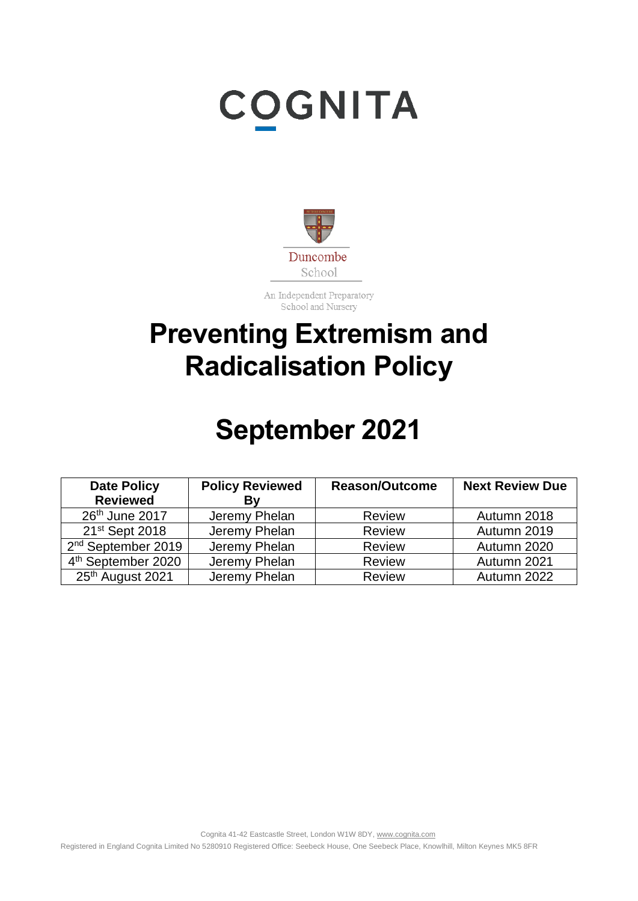# **COGNITA**



An Independent Preparatory School and Nursery

### **Preventing Extremism and Radicalisation Policy**

## **September 2021**

| <b>Date Policy</b><br><b>Reviewed</b> | <b>Policy Reviewed</b><br>By | <b>Reason/Outcome</b> | <b>Next Review Due</b> |
|---------------------------------------|------------------------------|-----------------------|------------------------|
| 26th June 2017                        | Jeremy Phelan                | <b>Review</b>         | Autumn 2018            |
| 21 <sup>st</sup> Sept 2018            | Jeremy Phelan                | <b>Review</b>         | Autumn 2019            |
| 2 <sup>nd</sup> September 2019        | Jeremy Phelan                | <b>Review</b>         | Autumn 2020            |
| 4 <sup>th</sup> September 2020        | Jeremy Phelan                | Review                | Autumn 2021            |
| 25th August 2021                      | Jeremy Phelan                | Review                | Autumn 2022            |

Cognita 41-42 Eastcastle Street, London W1W 8DY[, www.cognita.com](http://www.cognita.com/)

Registered in England Cognita Limited No 5280910 Registered Office: Seebeck House, One Seebeck Place, Knowlhill, Milton Keynes MK5 8FR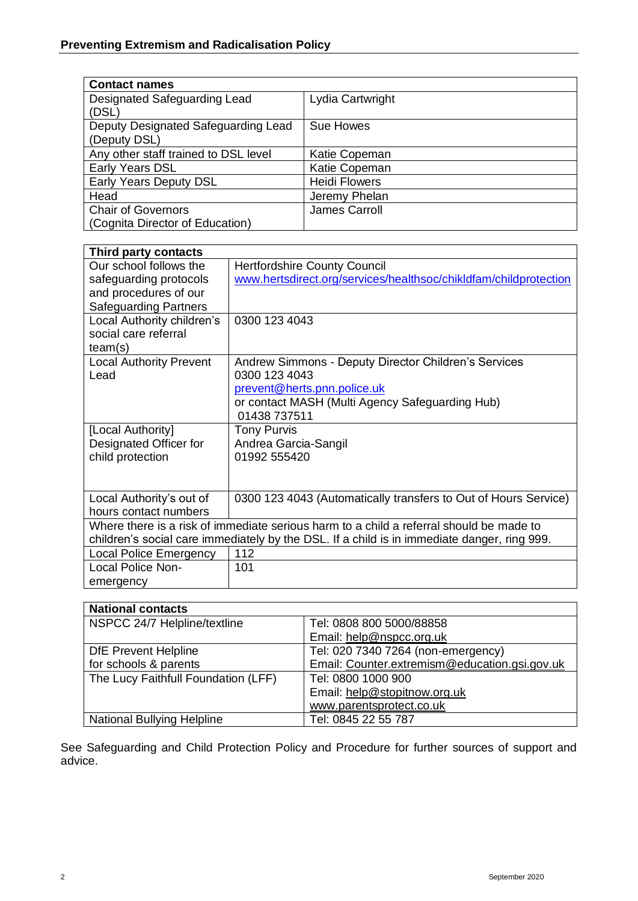| <b>Contact names</b>                                |                      |
|-----------------------------------------------------|----------------------|
| Designated Safeguarding Lead<br>(DSL)               | Lydia Cartwright     |
| Deputy Designated Safeguarding Lead<br>(Deputy DSL) | Sue Howes            |
| Any other staff trained to DSL level                | Katie Copeman        |
| Early Years DSL                                     | Katie Copeman        |
| Early Years Deputy DSL                              | <b>Heidi Flowers</b> |
| Head                                                | Jeremy Phelan        |
| <b>Chair of Governors</b>                           | James Carroll        |
| (Cognita Director of Education)                     |                      |

| Third party contacts                                                                        |                                                                  |
|---------------------------------------------------------------------------------------------|------------------------------------------------------------------|
| Our school follows the                                                                      | <b>Hertfordshire County Council</b>                              |
| safeguarding protocols                                                                      | www.hertsdirect.org/services/healthsoc/chikldfam/childprotection |
| and procedures of our                                                                       |                                                                  |
| <b>Safeguarding Partners</b>                                                                |                                                                  |
| Local Authority children's                                                                  | 0300 123 4043                                                    |
| social care referral                                                                        |                                                                  |
| team(s)                                                                                     |                                                                  |
| <b>Local Authority Prevent</b>                                                              | Andrew Simmons - Deputy Director Children's Services             |
| Lead                                                                                        | 0300 123 4043                                                    |
|                                                                                             | prevent@herts.pnn.police.uk                                      |
|                                                                                             | or contact MASH (Multi Agency Safeguarding Hub)                  |
|                                                                                             | 01438 737511                                                     |
| [Local Authority]                                                                           | <b>Tony Purvis</b>                                               |
| Designated Officer for                                                                      | Andrea Garcia-Sangil                                             |
| child protection                                                                            | 01992 555420                                                     |
|                                                                                             |                                                                  |
|                                                                                             |                                                                  |
| Local Authority's out of                                                                    | 0300 123 4043 (Automatically transfers to Out of Hours Service)  |
| hours contact numbers                                                                       |                                                                  |
| Where there is a risk of immediate serious harm to a child a referral should be made to     |                                                                  |
| children's social care immediately by the DSL. If a child is in immediate danger, ring 999. |                                                                  |
| <b>Local Police Emergency</b>                                                               | 112                                                              |
| <b>Local Police Non-</b>                                                                    | 101                                                              |
| emergency                                                                                   |                                                                  |

| <b>National contacts</b>            |                                               |
|-------------------------------------|-----------------------------------------------|
| NSPCC 24/7 Helpline/textline        | Tel: 0808 800 5000/88858                      |
|                                     | Email: help@nspcc.org.uk                      |
| <b>DfE Prevent Helpline</b>         | Tel: 020 7340 7264 (non-emergency)            |
| for schools & parents               | Email: Counter.extremism@education.gsi.gov.uk |
| The Lucy Faithfull Foundation (LFF) | Tel: 0800 1000 900                            |
|                                     | Email: help@stopitnow.org.uk                  |
|                                     | www.parentsprotect.co.uk                      |
| <b>National Bullying Helpline</b>   | Tel: 0845 22 55 787                           |

See Safeguarding and Child Protection Policy and Procedure for further sources of support and advice.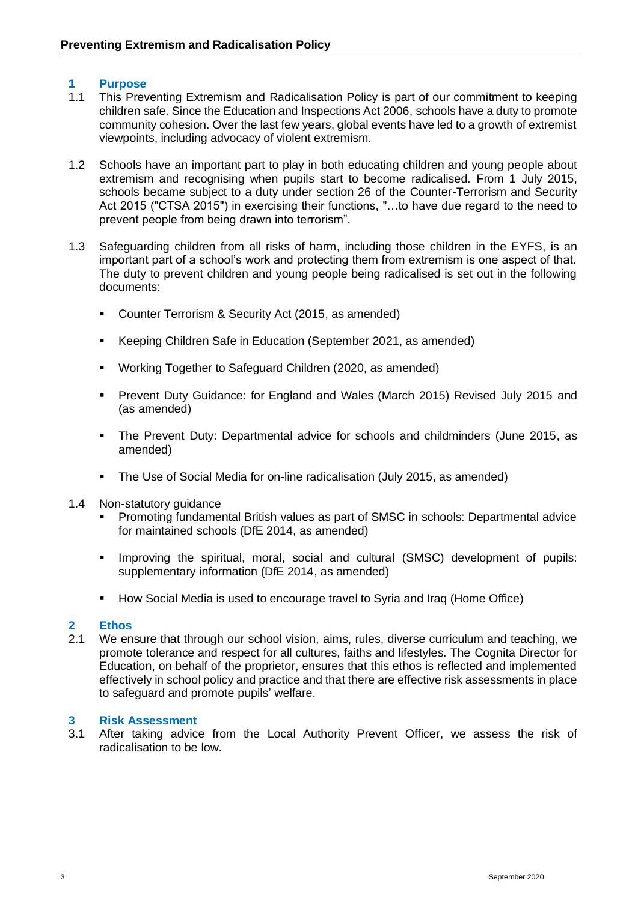#### **1 Purpose**

- 1.1 This Preventing Extremism and Radicalisation Policy is part of our commitment to keeping children safe. Since the Education and Inspections Act 2006, schools have a duty to promote community cohesion. Over the last few years, global events have led to a growth of extremist viewpoints, including advocacy of violent extremism.
- 1.2 Schools have an important part to play in both educating children and young people about extremism and recognising when pupils start to become radicalised. From 1 July 2015, schools became subject to a duty under section 26 of the Counter-Terrorism and Security Act 2015 ("CTSA 2015") in exercising their functions, "…to have due regard to the need to prevent people from being drawn into terrorism".
- 1.3 Safeguarding children from all risks of harm, including those children in the EYFS, is an important part of a school's work and protecting them from extremism is one aspect of that. The duty to prevent children and young people being radicalised is set out in the following documents:
	- Counter Terrorism & Security Act (2015, as amended)
	- Keeping Children Safe in Education (September 2021, as amended)
	- Working Together to Safeguard Children (2020, as amended)
	- Prevent Duty Guidance: for England and Wales (March 2015) Revised July 2015 and (as amended)
	- The Prevent Duty: Departmental advice for schools and childminders (June 2015, as amended)
	- The Use of Social Media for on-line radicalisation (July 2015, as amended)
- 1.4 Non-statutory guidance
	- Promoting fundamental British values as part of SMSC in schools: Departmental advice for maintained schools (DfE 2014, as amended)
	- Improving the spiritual, moral, social and cultural (SMSC) development of pupils: supplementary information (DfE 2014, as amended)
	- How Social Media is used to encourage travel to Syria and Iraq (Home Office)

#### **2 Ethos**

2.1 We ensure that through our school vision, aims, rules, diverse curriculum and teaching, we promote tolerance and respect for all cultures, faiths and lifestyles. The Cognita Director for Education, on behalf of the proprietor, ensures that this ethos is reflected and implemented effectively in school policy and practice and that there are effective risk assessments in place to safeguard and promote pupils' welfare.

#### **3 Risk Assessment**

3.1 After taking advice from the Local Authority Prevent Officer, we assess the risk of radicalisation to be low.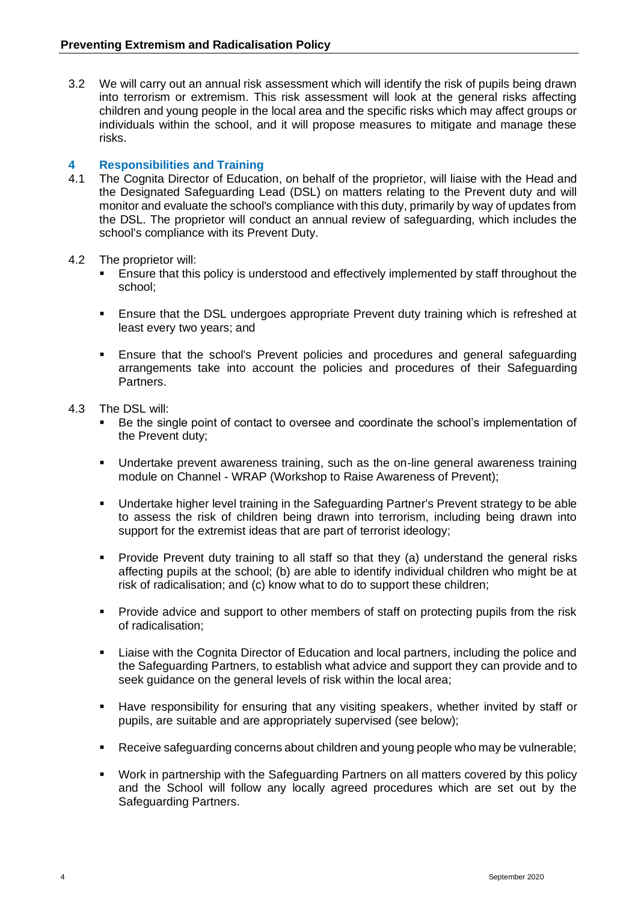3.2 We will carry out an annual risk assessment which will identify the risk of pupils being drawn into terrorism or extremism. This risk assessment will look at the general risks affecting children and young people in the local area and the specific risks which may affect groups or individuals within the school, and it will propose measures to mitigate and manage these risks.

#### **4 Responsibilities and Training**

- 4.1 The Cognita Director of Education, on behalf of the proprietor, will liaise with the Head and the Designated Safeguarding Lead (DSL) on matters relating to the Prevent duty and will monitor and evaluate the school's compliance with this duty, primarily by way of updates from the DSL. The proprietor will conduct an annual review of safeguarding, which includes the school's compliance with its Prevent Duty.
- 4.2 The proprietor will:
	- Ensure that this policy is understood and effectively implemented by staff throughout the school;
	- **Ensure that the DSL undergoes appropriate Prevent duty training which is refreshed at** least every two years; and
	- **Ensure that the school's Prevent policies and procedures and general safeguarding** arrangements take into account the policies and procedures of their Safeguarding Partners.
- 4.3 The DSL will:
	- Be the single point of contact to oversee and coordinate the school's implementation of the Prevent duty;
	- Undertake prevent awareness training, such as the on-line general awareness training module on Channel - WRAP (Workshop to Raise Awareness of Prevent);
	- Undertake higher level training in the Safeguarding Partner's Prevent strategy to be able to assess the risk of children being drawn into terrorism, including being drawn into support for the extremist ideas that are part of terrorist ideology;
	- Provide Prevent duty training to all staff so that they (a) understand the general risks affecting pupils at the school; (b) are able to identify individual children who might be at risk of radicalisation; and (c) know what to do to support these children;
	- **•** Provide advice and support to other members of staff on protecting pupils from the risk of radicalisation;
	- Liaise with the Cognita Director of Education and local partners, including the police and the Safeguarding Partners, to establish what advice and support they can provide and to seek guidance on the general levels of risk within the local area;
	- Have responsibility for ensuring that any visiting speakers, whether invited by staff or pupils, are suitable and are appropriately supervised (see below);
	- Receive safeguarding concerns about children and young people who may be vulnerable;
	- Work in partnership with the Safeguarding Partners on all matters covered by this policy and the School will follow any locally agreed procedures which are set out by the Safeguarding Partners.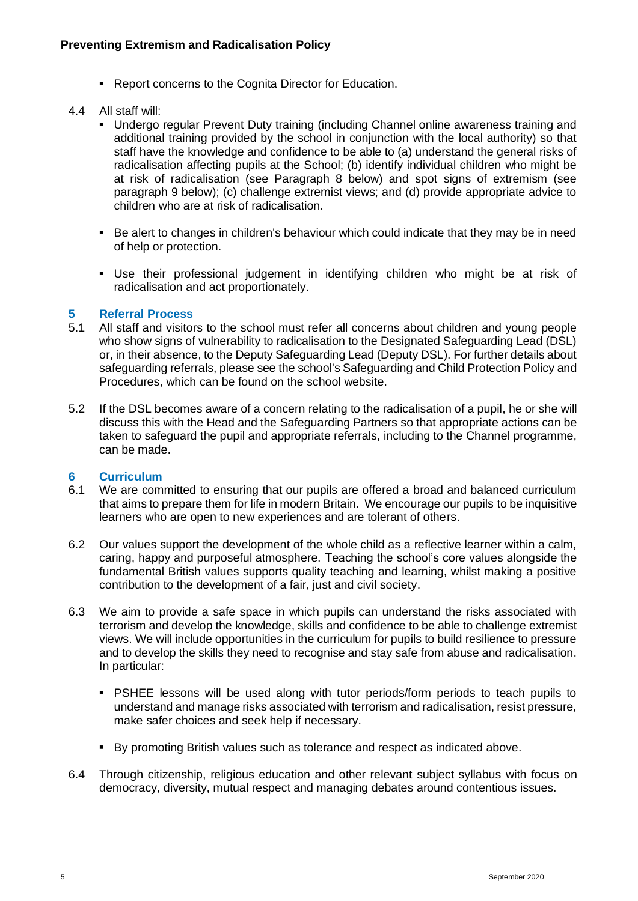- Report concerns to the Cognita Director for Education.
- 4.4 All staff will:
	- Undergo regular Prevent Duty training (including Channel online awareness training and additional training provided by the school in conjunction with the local authority) so that staff have the knowledge and confidence to be able to (a) understand the general risks of radicalisation affecting pupils at the School; (b) identify individual children who might be at risk of radicalisation (see Paragraph 8 below) and spot signs of extremism (see paragraph 9 below); (c) challenge extremist views; and (d) provide appropriate advice to children who are at risk of radicalisation.
	- Be alert to changes in children's behaviour which could indicate that they may be in need of help or protection.
	- Use their professional judgement in identifying children who might be at risk of radicalisation and act proportionately.

### **5 Referral Process**

- 5.1 All staff and visitors to the school must refer all concerns about children and young people who show signs of vulnerability to radicalisation to the Designated Safeguarding Lead (DSL) or, in their absence, to the Deputy Safeguarding Lead (Deputy DSL). For further details about safeguarding referrals, please see the school's Safeguarding and Child Protection Policy and Procedures, which can be found on the school website.
- 5.2 If the DSL becomes aware of a concern relating to the radicalisation of a pupil, he or she will discuss this with the Head and the Safeguarding Partners so that appropriate actions can be taken to safeguard the pupil and appropriate referrals, including to the Channel programme, can be made.

#### **6 Curriculum**

- 6.1 We are committed to ensuring that our pupils are offered a broad and balanced curriculum that aims to prepare them for life in modern Britain. We encourage our pupils to be inquisitive learners who are open to new experiences and are tolerant of others.
- 6.2 Our values support the development of the whole child as a reflective learner within a calm, caring, happy and purposeful atmosphere. Teaching the school's core values alongside the fundamental British values supports quality teaching and learning, whilst making a positive contribution to the development of a fair, just and civil society.
- 6.3 We aim to provide a safe space in which pupils can understand the risks associated with terrorism and develop the knowledge, skills and confidence to be able to challenge extremist views. We will include opportunities in the curriculum for pupils to build resilience to pressure and to develop the skills they need to recognise and stay safe from abuse and radicalisation. In particular:
	- PSHEE lessons will be used along with tutor periods/form periods to teach pupils to understand and manage risks associated with terrorism and radicalisation, resist pressure, make safer choices and seek help if necessary.
	- By promoting British values such as tolerance and respect as indicated above.
- 6.4 Through citizenship, religious education and other relevant subject syllabus with focus on democracy, diversity, mutual respect and managing debates around contentious issues.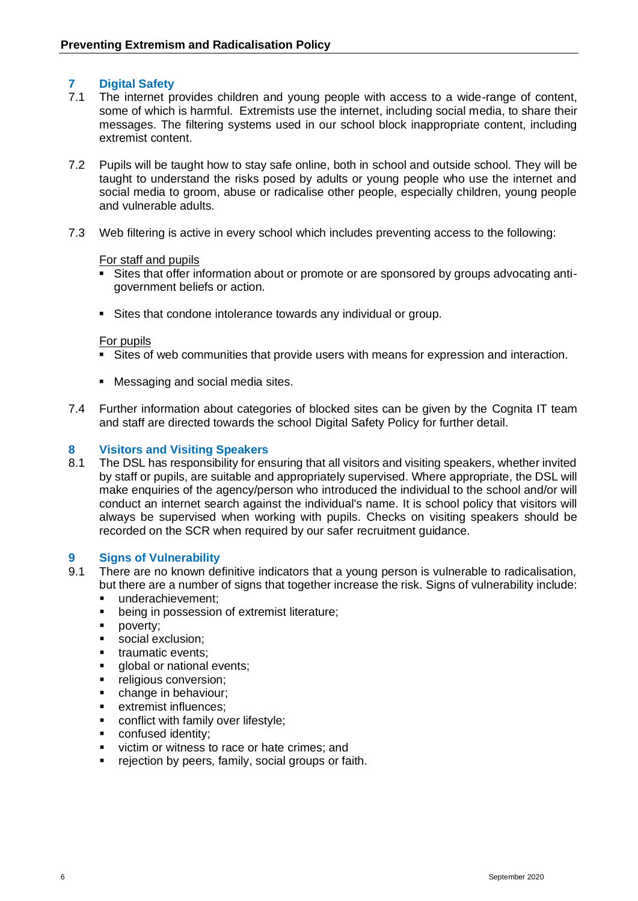#### **7 Digital Safety**

- 7.1 The internet provides children and young people with access to a wide-range of content, some of which is harmful. Extremists use the internet, including social media, to share their messages. The filtering systems used in our school block inappropriate content, including extremist content.
- 7.2 Pupils will be taught how to stay safe online, both in school and outside school. They will be taught to understand the risks posed by adults or young people who use the internet and social media to groom, abuse or radicalise other people, especially children, young people and vulnerable adults.
- 7.3 Web filtering is active in every school which includes preventing access to the following:

#### For staff and pupils

- Sites that offer information about or promote or are sponsored by groups advocating antigovernment beliefs or action.
- Sites that condone intolerance towards any individual or group.

#### For pupils

- Sites of web communities that provide users with means for expression and interaction.
- Messaging and social media sites.
- 7.4 Further information about categories of blocked sites can be given by the Cognita IT team and staff are directed towards the school Digital Safety Policy for further detail.

#### **8 Visitors and Visiting Speakers**

8.1 The DSL has responsibility for ensuring that all visitors and visiting speakers, whether invited by staff or pupils, are suitable and appropriately supervised. Where appropriate, the DSL will make enquiries of the agency/person who introduced the individual to the school and/or will conduct an internet search against the individual's name. It is school policy that visitors will always be supervised when working with pupils. Checks on visiting speakers should be recorded on the SCR when required by our safer recruitment guidance.

#### **9 Signs of Vulnerability**

- 9.1 There are no known definitive indicators that a young person is vulnerable to radicalisation, but there are a number of signs that together increase the risk. Signs of vulnerability include:
	- underachievement;
	- being in possession of extremist literature;
	- poverty;
	- social exclusion:
	- traumatic events;
	- **■** global or national events:
	- **·** religious conversion:
	- **•** change in behaviour;
	- extremist influences;
	- conflict with family over lifestyle;
	- confused identity:
	- victim or witness to race or hate crimes: and
	- rejection by peers, family, social groups or faith.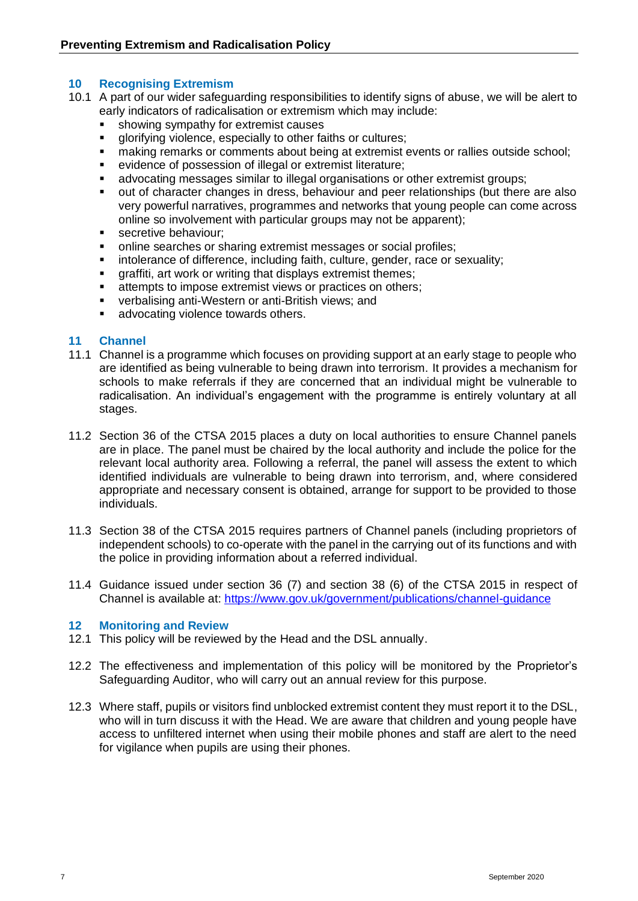#### **10 Recognising Extremism**

- 10.1 A part of our wider safeguarding responsibilities to identify signs of abuse, we will be alert to early indicators of radicalisation or extremism which may include:
	- **•** showing sympathy for extremist causes
	- glorifying violence, especially to other faiths or cultures;
	- making remarks or comments about being at extremist events or rallies outside school;
	- evidence of possession of illegal or extremist literature;
	- advocating messages similar to illegal organisations or other extremist groups;
	- out of character changes in dress, behaviour and peer relationships (but there are also very powerful narratives, programmes and networks that young people can come across online so involvement with particular groups may not be apparent);
	- **■** secretive behaviour;
	- online searches or sharing extremist messages or social profiles;
	- intolerance of difference, including faith, culture, gender, race or sexuality;
	- graffiti, art work or writing that displays extremist themes;
	- attempts to impose extremist views or practices on others;
	- verbalising anti-Western or anti-British views; and
	- advocating violence towards others.

#### **11 Channel**

- 11.1 Channel is a programme which focuses on providing support at an early stage to people who are identified as being vulnerable to being drawn into terrorism. It provides a mechanism for schools to make referrals if they are concerned that an individual might be vulnerable to radicalisation. An individual's engagement with the programme is entirely voluntary at all stages.
- 11.2 Section 36 of the CTSA 2015 places a duty on local authorities to ensure Channel panels are in place. The panel must be chaired by the local authority and include the police for the relevant local authority area. Following a referral, the panel will assess the extent to which identified individuals are vulnerable to being drawn into terrorism, and, where considered appropriate and necessary consent is obtained, arrange for support to be provided to those individuals.
- 11.3 Section 38 of the CTSA 2015 requires partners of Channel panels (including proprietors of independent schools) to co-operate with the panel in the carrying out of its functions and with the police in providing information about a referred individual.
- 11.4 Guidance issued under section 36 (7) and section 38 (6) of the CTSA 2015 in respect of Channel is available at:<https://www.gov.uk/government/publications/channel-guidance>

#### **12 Monitoring and Review**

- 12.1 This policy will be reviewed by the Head and the DSL annually.
- 12.2 The effectiveness and implementation of this policy will be monitored by the Proprietor's Safeguarding Auditor, who will carry out an annual review for this purpose.
- 12.3 Where staff, pupils or visitors find unblocked extremist content they must report it to the DSL, who will in turn discuss it with the Head. We are aware that children and young people have access to unfiltered internet when using their mobile phones and staff are alert to the need for vigilance when pupils are using their phones.